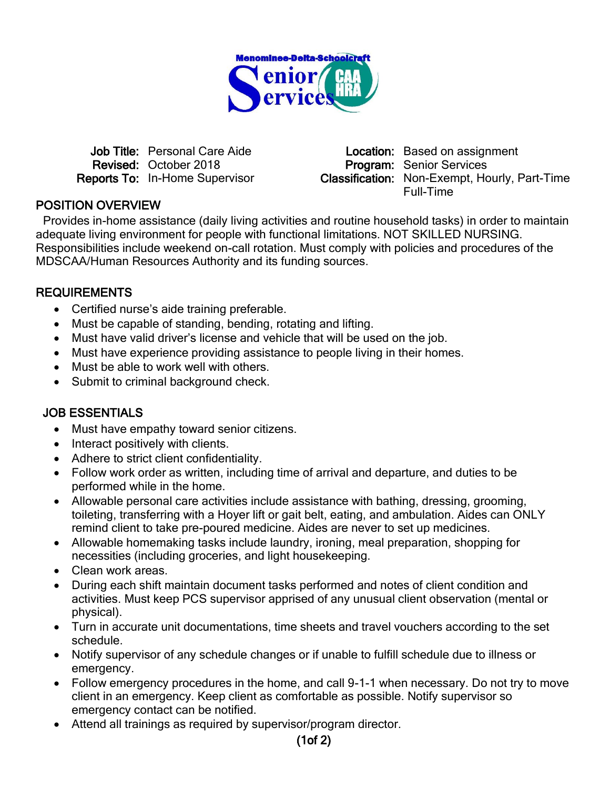

Revised: October 2018 **Program: Senior Services** 

Job Title: Personal Care Aide **Location:** Based on assignment Reports To: In-Home Supervisor Classification: Non-Exempt, Hourly, Part-Time Full-Time

## POSITION OVERVIEW

Provides in-home assistance (daily living activities and routine household tasks) in order to maintain adequate living environment for people with functional limitations. NOT SKILLED NURSING. Responsibilities include weekend on-call rotation. Must comply with policies and procedures of the MDSCAA/Human Resources Authority and its funding sources.

### REQUIREMENTS

- Certified nurse's aide training preferable.
- Must be capable of standing, bending, rotating and lifting.
- Must have valid driver's license and vehicle that will be used on the job.
- Must have experience providing assistance to people living in their homes.
- Must be able to work well with others.
- Submit to criminal background check.

### JOB ESSENTIALS

- Must have empathy toward senior citizens.
- Interact positively with clients.
- Adhere to strict client confidentiality.
- Follow work order as written, including time of arrival and departure, and duties to be performed while in the home.
- Allowable personal care activities include assistance with bathing, dressing, grooming, toileting, transferring with a Hoyer lift or gait belt, eating, and ambulation. Aides can ONLY remind client to take pre-poured medicine. Aides are never to set up medicines.
- Allowable homemaking tasks include laundry, ironing, meal preparation, shopping for necessities (including groceries, and light housekeeping.
- Clean work areas.
- During each shift maintain document tasks performed and notes of client condition and activities. Must keep PCS supervisor apprised of any unusual client observation (mental or physical).
- Turn in accurate unit documentations, time sheets and travel vouchers according to the set schedule.
- Notify supervisor of any schedule changes or if unable to fulfill schedule due to illness or emergency.
- Follow emergency procedures in the home, and call 9-1-1 when necessary. Do not try to move client in an emergency. Keep client as comfortable as possible. Notify supervisor so emergency contact can be notified.
- Attend all trainings as required by supervisor/program director.